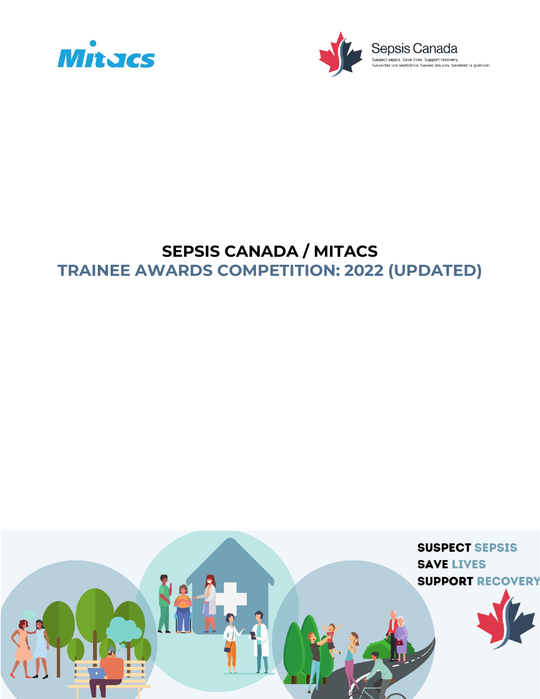

# **SEPSIS CANADA / MITACS TRAINEE AWARDS COMPETITION: 2022 (UPDATED)**



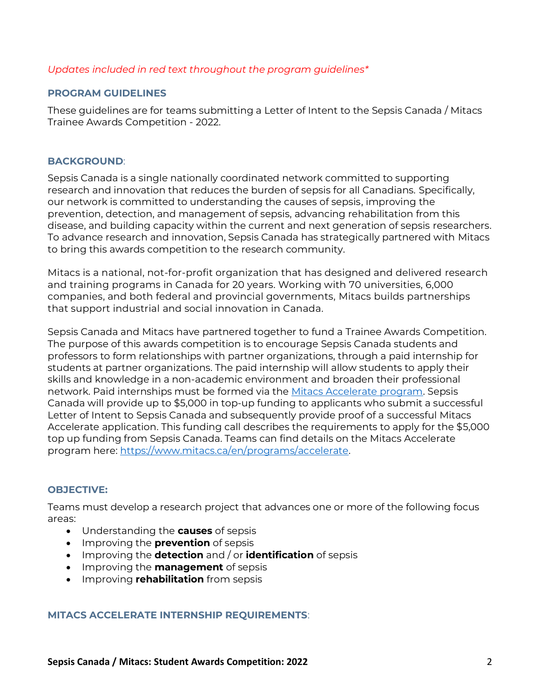## *Updates included in red text throughout the program guidelines\**

## **PROGRAM GUIDELINES**

These guidelines are for teams submitting a Letter of Intent to the Sepsis Canada / Mitacs Trainee Awards Competition - 2022.

#### **BACKGROUND**:

Sepsis Canada is a single nationally coordinated network committed to supporting research and innovation that reduces the burden of sepsis for all Canadians. Specifically, our network is committed to understanding the causes of sepsis, improving the prevention, detection, and management of sepsis, advancing rehabilitation from this disease, and building capacity within the current and next generation of sepsis researchers. To advance research and innovation, Sepsis Canada has strategically partnered with Mitacs to bring this awards competition to the research community.

Mitacs is a national, not-for-profit organization that has designed and delivered research and training programs in Canada for 20 years. Working with 70 universities, 6,000 companies, and both federal and provincial governments, Mitacs builds partnerships that support industrial and social innovation in Canada.

Sepsis Canada and Mitacs have partnered together to fund a Trainee Awards Competition. The purpose of this awards competition is to encourage Sepsis Canada students and professors to form relationships with partner organizations, through a paid internship for students at partner organizations. The paid internship will allow students to apply their skills and knowledge in a non-academic environment and broaden their professional network. Paid internships must be formed via the [Mitacs Accelerate program.](https://www.mitacs.ca/en/programs/accelerate) Sepsis Canada will provide up to \$5,000 in top-up funding to applicants who submit a successful Letter of Intent to Sepsis Canada and subsequently provide proof of a successful Mitacs Accelerate application. This funding call describes the requirements to apply for the \$5,000 top up funding from Sepsis Canada. Teams can find details on the Mitacs Accelerate program here: [https://www.mitacs.ca/en/programs/accelerate.](https://www.mitacs.ca/en/programs/accelerate)

## **OBJECTIVE:**

Teams must develop a research project that advances one or more of the following focus areas:

- Understanding the **causes** of sepsis
- Improving the **prevention** of sepsis
- Improving the **detection** and / or **identification** of sepsis
- Improving the **management** of sepsis
- Improving **rehabilitation** from sepsis

#### **MITACS ACCELERATE INTERNSHIP REQUIREMENTS**: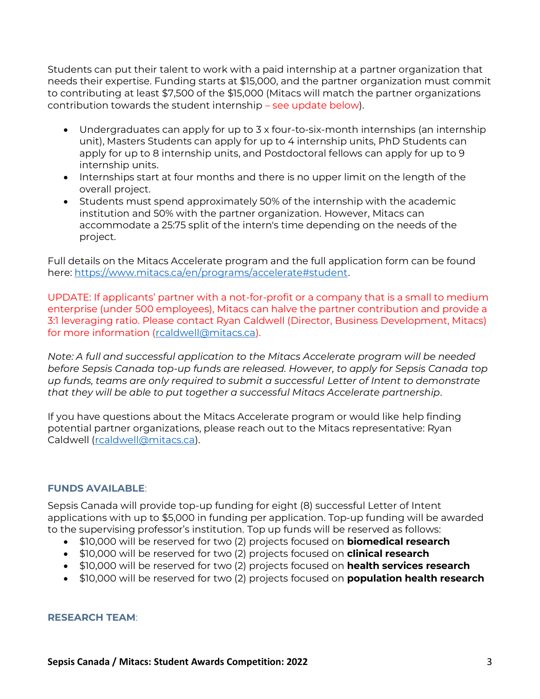Students can put their talent to work with a paid internship at a partner organization that needs their expertise. Funding starts at \$15,000, and the partner organization must commit to contributing at least \$7,500 of the \$15,000 (Mitacs will match the partner organizations contribution towards the student internship – see update below).

- Undergraduates can apply for up to 3 x four-to-six-month internships (an internship unit), Masters Students can apply for up to 4 internship units, PhD Students can apply for up to 8 internship units, and Postdoctoral fellows can apply for up to 9 internship units.
- Internships start at four months and there is no upper limit on the length of the overall project.
- Students must spend approximately 50% of the internship with the academic institution and 50% with the partner organization. However, Mitacs can accommodate a 25:75 split of the intern's time depending on the needs of the project.

Full details on the Mitacs Accelerate program and the full application form can be found here: [https://www.mitacs.ca/en/programs/accelerate#student.](https://www.mitacs.ca/en/programs/accelerate#student)

UPDATE: If applicants' partner with a not-for-profit or a company that is a small to medium enterprise (under 500 employees), Mitacs can halve the partner contribution and provide a 3:1 leveraging ratio. Please contact Ryan Caldwell (Director, Business Development, Mitacs) for more information [\(rcaldwell@mitacs.ca\)](mailto:rcaldwell@mitacs.ca).

*Note: A full and successful application to the Mitacs Accelerate program will be needed before Sepsis Canada top-up funds are released. However, to apply for Sepsis Canada top up funds, teams are only required to submit a successful Letter of Intent to demonstrate that they will be able to put together a successful Mitacs Accelerate partnership.*

If you have questions about the Mitacs Accelerate program or would like help finding potential partner organizations, please reach out to the Mitacs representative: Ryan Caldwell [\(rcaldwell@mitacs.ca\)](mailto:rcaldwell@mitacs.ca).

## **FUNDS AVAILABLE**:

Sepsis Canada will provide top-up funding for eight (8) successful Letter of Intent applications with up to \$5,000 in funding per application. Top-up funding will be awarded to the supervising professor's institution. Top up funds will be reserved as follows:

- \$10,000 will be reserved for two (2) projects focused on **biomedical research**
- \$10,000 will be reserved for two (2) projects focused on **clinical research**
- \$10,000 will be reserved for two (2) projects focused on **health services research**
- \$10,000 will be reserved for two (2) projects focused on **population health research**

## **RESEARCH TEAM**: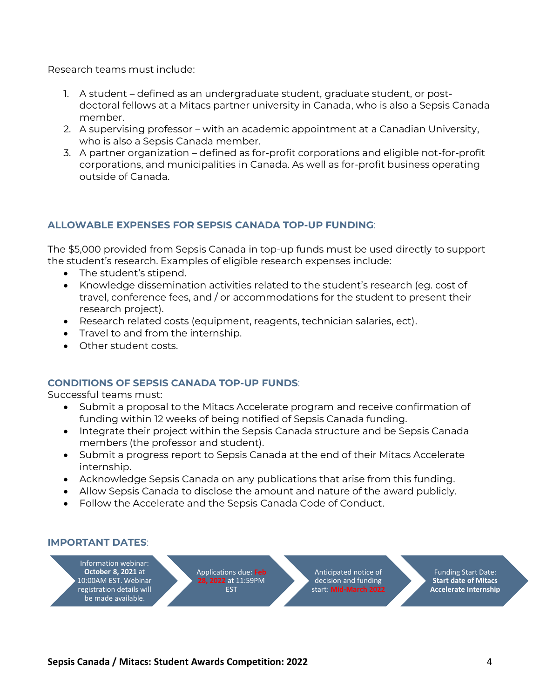Research teams must include:

- 1. A student defined as an undergraduate student, graduate student, or postdoctoral fellows at a Mitacs partner university in Canada, who is also a Sepsis Canada member.
- 2. A supervising professor with an academic appointment at a Canadian University, who is also a Sepsis Canada member.
- 3. A partner organization defined as for-profit corporations and eligible not-for-profit corporations, and municipalities in Canada. As well as for-profit business operating outside of Canada.

## **ALLOWABLE EXPENSES FOR SEPSIS CANADA TOP-UP FUNDING**:

The \$5,000 provided from Sepsis Canada in top-up funds must be used directly to support the student's research. Examples of eligible research expenses include:

- The student's stipend.
- Knowledge dissemination activities related to the student's research (eg. cost of travel, conference fees, and / or accommodations for the student to present their research project).
- Research related costs (equipment, reagents, technician salaries, ect).
- Travel to and from the internship.
- Other student costs.

## **CONDITIONS OF SEPSIS CANADA TOP-UP FUNDS**:

Successful teams must:

- Submit a proposal to the Mitacs Accelerate program and receive confirmation of funding within 12 weeks of being notified of Sepsis Canada funding.
- Integrate their project within the Sepsis Canada structure and be Sepsis Canada members (the professor and student).
- Submit a progress report to Sepsis Canada at the end of their Mitacs Accelerate internship.
- Acknowledge Sepsis Canada on any publications that arise from this funding.
- Allow Sepsis Canada to disclose the amount and nature of the award publicly.
- Follow the Accelerate and the Sepsis Canada Code of Conduct.

#### **IMPORTANT DATES**:

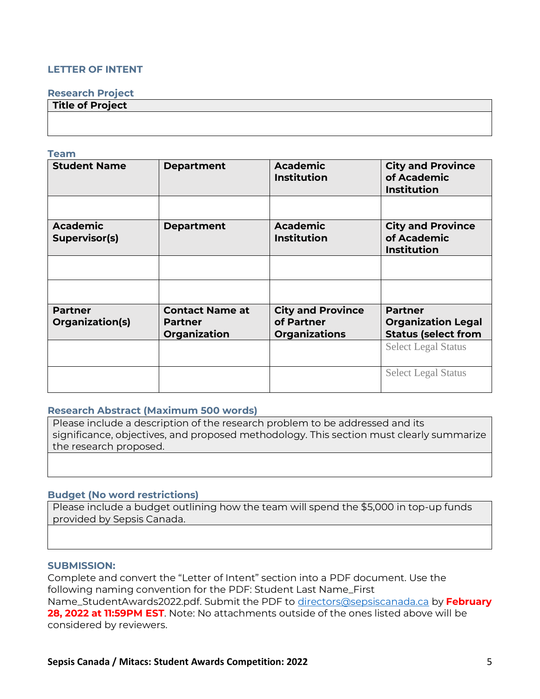## **LETTER OF INTENT**

#### **Research Project**

| Title of Project |  |
|------------------|--|
|                  |  |
|                  |  |

#### **Team**

| <b>Student Name</b>                     | <b>Department</b>      | <b>Academic</b><br><b>Institution</b> | <b>City and Province</b><br>of Academic<br><b>Institution</b> |
|-----------------------------------------|------------------------|---------------------------------------|---------------------------------------------------------------|
|                                         |                        |                                       |                                                               |
| <b>Academic</b><br><b>Supervisor(s)</b> | <b>Department</b>      | <b>Academic</b><br><b>Institution</b> | <b>City and Province</b><br>of Academic<br><b>Institution</b> |
|                                         |                        |                                       |                                                               |
|                                         |                        |                                       |                                                               |
| <b>Partner</b>                          | <b>Contact Name at</b> | <b>City and Province</b>              | <b>Partner</b>                                                |
| Organization(s)                         | <b>Partner</b>         | of Partner                            | <b>Organization Legal</b>                                     |
|                                         | Organization           | <b>Organizations</b>                  | <b>Status (select from</b>                                    |
|                                         |                        |                                       | <b>Select Legal Status</b>                                    |
|                                         |                        |                                       | <b>Select Legal Status</b>                                    |

#### **Research Abstract (Maximum 500 words)**

Please include a description of the research problem to be addressed and its significance, objectives, and proposed methodology. This section must clearly summarize the research proposed.

#### **Budget (No word restrictions)**

Please include a budget outlining how the team will spend the \$5,000 in top-up funds provided by Sepsis Canada.

#### **SUBMISSION:**

Complete and convert the "Letter of Intent" section into a PDF document. Use the following naming convention for the PDF: Student Last Name\_First Name\_StudentAwards2022.pdf. Submit the PDF to [directors@sepsiscanada.ca](/Users/nubiazepeda/Dropbox/Sepsis%20Canada/4.%20Grants/Funds%20Administered/2021/MITACS/directors@sepsiscanada.ca) by **February 28, 2022 at 11:59PM EST**. Note: No attachments outside of the ones listed above will be considered by reviewers.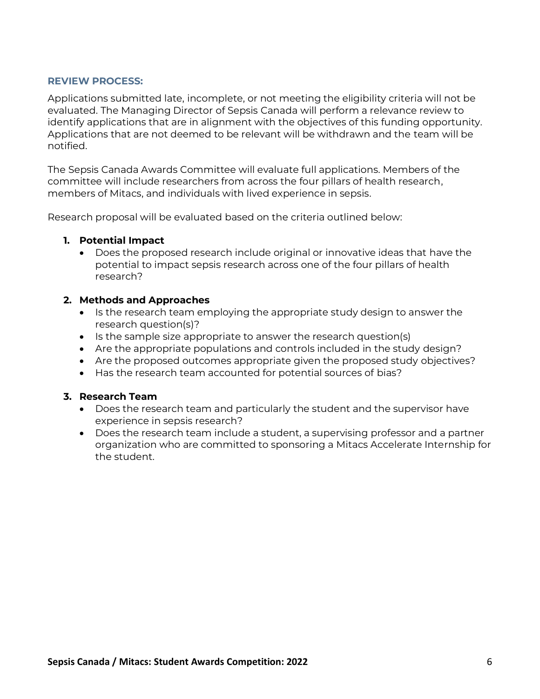## **REVIEW PROCESS:**

Applications submitted late, incomplete, or not meeting the eligibility criteria will not be evaluated. The Managing Director of Sepsis Canada will perform a relevance review to identify applications that are in alignment with the objectives of this funding opportunity. Applications that are not deemed to be relevant will be withdrawn and the team will be notified.

The Sepsis Canada Awards Committee will evaluate full applications. Members of the committee will include researchers from across the four pillars of health research, members of Mitacs, and individuals with lived experience in sepsis.

Research proposal will be evaluated based on the criteria outlined below:

## **1. Potential Impact**

• Does the proposed research include original or innovative ideas that have the potential to impact sepsis research across one of the four pillars of health research?

### **2. Methods and Approaches**

- Is the research team employing the appropriate study design to answer the research question(s)?
- Is the sample size appropriate to answer the research question(s)
- Are the appropriate populations and controls included in the study design?
- Are the proposed outcomes appropriate given the proposed study objectives?
- Has the research team accounted for potential sources of bias?

#### **3. Research Team**

- Does the research team and particularly the student and the supervisor have experience in sepsis research?
- Does the research team include a student, a supervising professor and a partner organization who are committed to sponsoring a Mitacs Accelerate Internship for the student.